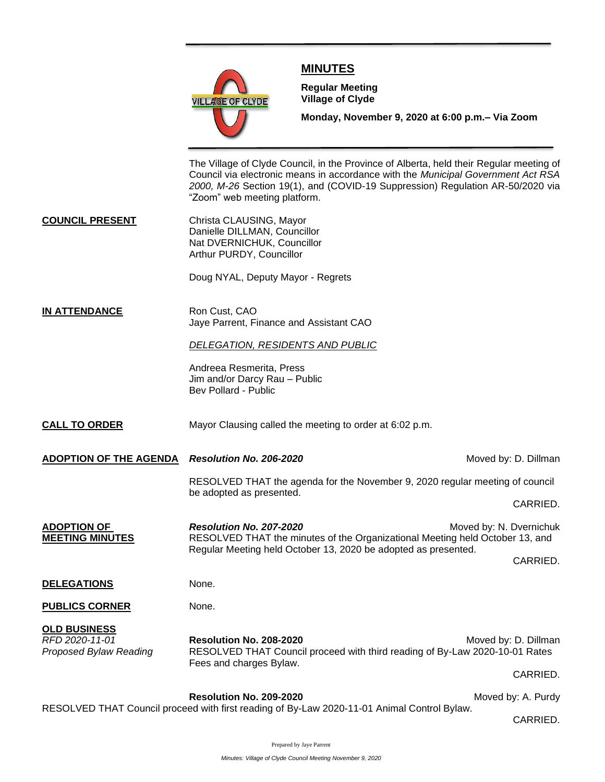

## **MINUTES**

**Meeting**

**Regular Meeting Village of Clyde**

**Monday, November 9, 2020 at 6:00 p.m.– Via Zoom** 

The Village of Clyde Council, in the Province of Alberta, held their Regular meeting of Council via electronic means in accordance with the *Municipal Government Act RSA 2000, M-26* Section 19(1), and (COVID-19 Suppression) Regulation AR-50/2020 via "Zoom" web meeting platform.

**COUNCIL PRESENT** Christa CLAUSING, Mayor Danielle DILLMAN, Councillor Nat DVERNICHUK, Councillor Arthur PURDY, Councillor

Doug NYAL, Deputy Mayor - Regrets

**IN ATTENDANCE** Ron Cust, CAO Jaye Parrent, Finance and Assistant CAO

## *DELEGATION, RESIDENTS AND PUBLIC*

Andreea Resmerita, Press Jim and/or Darcy Rau – Public Bev Pollard - Public

**CALL TO ORDER** Mayor Clausing called the meeting to order at 6:02 p.m.

**ADOPTION OF THE AGENDA** *Resolution No. 206-2020* **Moved by: D. Dillman** *Moved by: D. Dillman* 

RESOLVED THAT the agenda for the November 9, 2020 regular meeting of council be adopted as presented.

CARRIED.

**ADOPTION OF Resolution No. 207-2020** Moved by: N. Dvernichuk **MEETING MINUTES** RESOLVED THAT the minutes of the Organizational Meeting held October 13, and Regular Meeting held October 13, 2020 be adopted as presented.

CARRIED.

**DELEGATIONS** None.

**PUBLICS CORNER** None.

**OLD BUSINESS**

*RFD 2020-11-01* **Resolution No. 208-2020** Moved by: D. Dillman *Proposed Bylaw Reading* RESOLVED THAT Council proceed with third reading of By-Law 2020-10-01 Rates Fees and charges Bylaw.

CARRIED.

**Resolution No. 209-2020** Moved by: A. Purdy RESOLVED THAT Council proceed with first reading of By-Law 2020-11-01 Animal Control Bylaw.

CARRIED.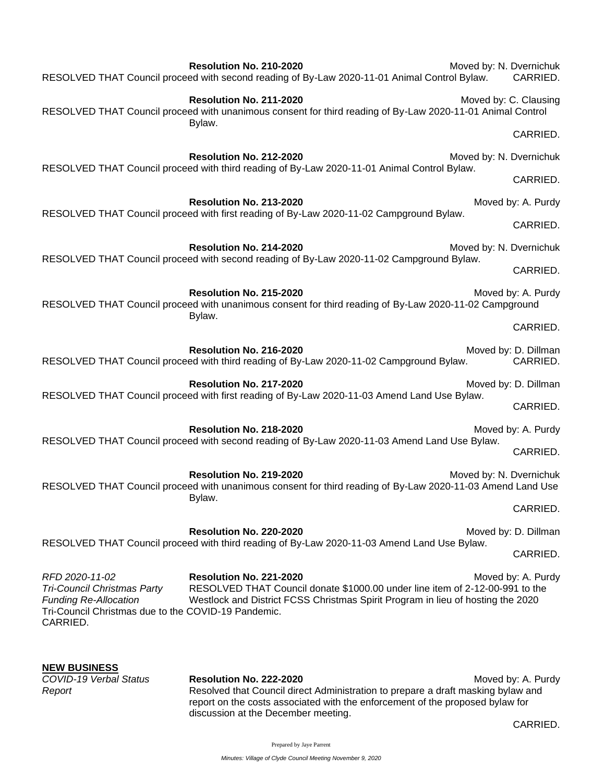|                                                                                                                                                  | Resolution No. 210-2020<br>RESOLVED THAT Council proceed with second reading of By-Law 2020-11-01 Animal Control Bylaw.                                                                    | Moved by: N. Dvernichuk | CARRIED.                         |
|--------------------------------------------------------------------------------------------------------------------------------------------------|--------------------------------------------------------------------------------------------------------------------------------------------------------------------------------------------|-------------------------|----------------------------------|
|                                                                                                                                                  | Resolution No. 211-2020<br>RESOLVED THAT Council proceed with unanimous consent for third reading of By-Law 2020-11-01 Animal Control<br>Bylaw.                                            |                         | Moved by: C. Clausing            |
|                                                                                                                                                  |                                                                                                                                                                                            |                         | CARRIED.                         |
|                                                                                                                                                  | Resolution No. 212-2020<br>RESOLVED THAT Council proceed with third reading of By-Law 2020-11-01 Animal Control Bylaw.                                                                     | Moved by: N. Dvernichuk |                                  |
|                                                                                                                                                  |                                                                                                                                                                                            |                         | CARRIED.                         |
|                                                                                                                                                  | Resolution No. 213-2020<br>RESOLVED THAT Council proceed with first reading of By-Law 2020-11-02 Campground Bylaw.                                                                         |                         | Moved by: A. Purdy               |
|                                                                                                                                                  |                                                                                                                                                                                            |                         | CARRIED.                         |
|                                                                                                                                                  | Resolution No. 214-2020                                                                                                                                                                    | Moved by: N. Dvernichuk |                                  |
|                                                                                                                                                  | RESOLVED THAT Council proceed with second reading of By-Law 2020-11-02 Campground Bylaw.                                                                                                   |                         | CARRIED.                         |
|                                                                                                                                                  | Resolution No. 215-2020<br>RESOLVED THAT Council proceed with unanimous consent for third reading of By-Law 2020-11-02 Campground<br>Bylaw.                                                |                         | Moved by: A. Purdy               |
|                                                                                                                                                  |                                                                                                                                                                                            |                         | CARRIED.                         |
|                                                                                                                                                  | Resolution No. 216-2020<br>RESOLVED THAT Council proceed with third reading of By-Law 2020-11-02 Campground Bylaw.                                                                         |                         | Moved by: D. Dillman<br>CARRIED. |
|                                                                                                                                                  | Resolution No. 217-2020<br>RESOLVED THAT Council proceed with first reading of By-Law 2020-11-03 Amend Land Use Bylaw.                                                                     |                         | Moved by: D. Dillman             |
|                                                                                                                                                  |                                                                                                                                                                                            |                         | CARRIED.                         |
|                                                                                                                                                  | Resolution No. 218-2020<br>RESOLVED THAT Council proceed with second reading of By-Law 2020-11-03 Amend Land Use Bylaw.                                                                    |                         | Moved by: A. Purdy               |
|                                                                                                                                                  |                                                                                                                                                                                            |                         | CARRIED.                         |
|                                                                                                                                                  | Resolution No. 219-2020<br>RESOLVED THAT Council proceed with unanimous consent for third reading of By-Law 2020-11-03 Amend Land Use<br>Bylaw.                                            | Moved by: N. Dvernichuk |                                  |
|                                                                                                                                                  |                                                                                                                                                                                            |                         | CARRIED.                         |
|                                                                                                                                                  | Resolution No. 220-2020<br>RESOLVED THAT Council proceed with third reading of By-Law 2020-11-03 Amend Land Use Bylaw.                                                                     |                         | Moved by: D. Dillman             |
|                                                                                                                                                  |                                                                                                                                                                                            |                         | CARRIED.                         |
| RFD 2020-11-02<br>Tri-Council Christmas Party<br><b>Funding Re-Allocation</b><br>Tri-Council Christmas due to the COVID-19 Pandemic.<br>CARRIED. | Resolution No. 221-2020<br>RESOLVED THAT Council donate \$1000.00 under line item of 2-12-00-991 to the<br>Westlock and District FCSS Christmas Spirit Program in lieu of hosting the 2020 |                         | Moved by: A. Purdy               |
| <b>NEW BUSINESS</b>                                                                                                                              |                                                                                                                                                                                            |                         |                                  |

*COVID-19 Verbal Status* **Resolution No. 222-2020**<br>Resolved that Council direct Administration to prepare a draft masking bylaw and **Resolved that Council direct Administration to prepare a draft masking bylaw and** report on the costs associated with the enforcement of the proposed bylaw for discussion at the December meeting.

CARRIED.

Prepared by Jaye Parrent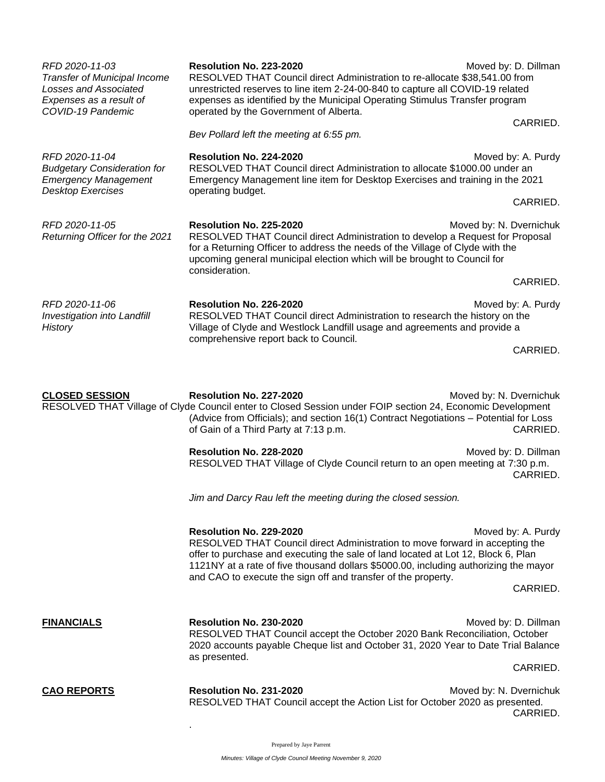| RFD 2020-11-03<br>Transfer of Municipal Income<br>Losses and Associated<br>Expenses as a result of<br>COVID-19 Pandemic | Resolution No. 223-2020<br>RESOLVED THAT Council direct Administration to re-allocate \$38,541.00 from<br>unrestricted reserves to line item 2-24-00-840 to capture all COVID-19 related<br>expenses as identified by the Municipal Operating Stimulus Transfer program<br>operated by the Government of Alberta.                                     | Moved by: D. Dillman                                                                                     |  |
|-------------------------------------------------------------------------------------------------------------------------|-------------------------------------------------------------------------------------------------------------------------------------------------------------------------------------------------------------------------------------------------------------------------------------------------------------------------------------------------------|----------------------------------------------------------------------------------------------------------|--|
|                                                                                                                         | Bev Pollard left the meeting at 6:55 pm.                                                                                                                                                                                                                                                                                                              | CARRIED.                                                                                                 |  |
| RFD 2020-11-04<br><b>Budgetary Consideration for</b><br><b>Emergency Management</b><br><b>Desktop Exercises</b>         | Resolution No. 224-2020<br>RESOLVED THAT Council direct Administration to allocate \$1000.00 under an<br>Emergency Management line item for Desktop Exercises and training in the 2021<br>operating budget.                                                                                                                                           | Moved by: A. Purdy                                                                                       |  |
|                                                                                                                         |                                                                                                                                                                                                                                                                                                                                                       | CARRIED.                                                                                                 |  |
| RFD 2020-11-05<br>Returning Officer for the 2021                                                                        | Resolution No. 225-2020<br>for a Returning Officer to address the needs of the Village of Clyde with the<br>upcoming general municipal election which will be brought to Council for<br>consideration.                                                                                                                                                | Moved by: N. Dvernichuk<br>RESOLVED THAT Council direct Administration to develop a Request for Proposal |  |
|                                                                                                                         |                                                                                                                                                                                                                                                                                                                                                       | CARRIED.                                                                                                 |  |
| RFD 2020-11-06<br>Investigation into Landfill<br>History                                                                | Resolution No. 226-2020<br>RESOLVED THAT Council direct Administration to research the history on the<br>Village of Clyde and Westlock Landfill usage and agreements and provide a<br>comprehensive report back to Council.                                                                                                                           | Moved by: A. Purdy                                                                                       |  |
|                                                                                                                         |                                                                                                                                                                                                                                                                                                                                                       | CARRIED.                                                                                                 |  |
| <b>CLOSED SESSION</b>                                                                                                   | Resolution No. 227-2020<br>RESOLVED THAT Village of Clyde Council enter to Closed Session under FOIP section 24, Economic Development<br>(Advice from Officials); and section 16(1) Contract Negotiations - Potential for Loss<br>of Gain of a Third Party at 7:13 p.m.                                                                               | Moved by: N. Dvernichuk<br>CARRIED.                                                                      |  |
|                                                                                                                         | Resolution No. 228-2020<br>RESOLVED THAT Village of Clyde Council return to an open meeting at 7:30 p.m.                                                                                                                                                                                                                                              | Moved by: D. Dillman<br>CARRIED.                                                                         |  |
|                                                                                                                         | Jim and Darcy Rau left the meeting during the closed session.                                                                                                                                                                                                                                                                                         |                                                                                                          |  |
|                                                                                                                         | Resolution No. 229-2020<br>RESOLVED THAT Council direct Administration to move forward in accepting the<br>offer to purchase and executing the sale of land located at Lot 12, Block 6, Plan<br>1121NY at a rate of five thousand dollars \$5000.00, including authorizing the mayor<br>and CAO to execute the sign off and transfer of the property. | Moved by: A. Purdy<br>CARRIED.                                                                           |  |
| <b>FINANCIALS</b>                                                                                                       | Resolution No. 230-2020<br>RESOLVED THAT Council accept the October 2020 Bank Reconciliation, October<br>2020 accounts payable Cheque list and October 31, 2020 Year to Date Trial Balance<br>as presented.                                                                                                                                           | Moved by: D. Dillman<br>CARRIED.                                                                         |  |
| <b>CAO REPORTS</b>                                                                                                      | Resolution No. 231-2020<br>RESOLVED THAT Council accept the Action List for October 2020 as presented.                                                                                                                                                                                                                                                | Moved by: N. Dvernichuk<br>CARRIED.                                                                      |  |

Prepared by Jaye Parrent